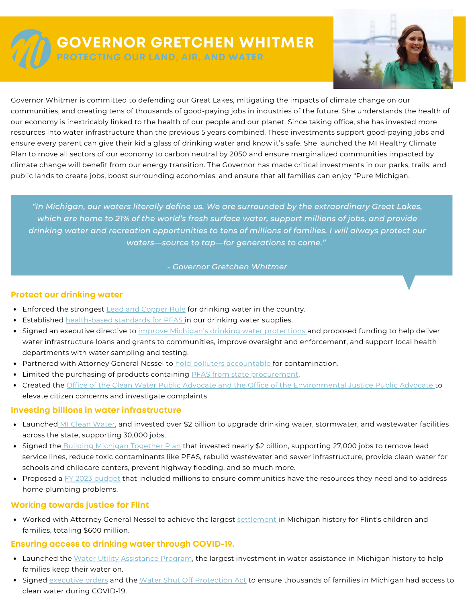

# **GOVERNOR GRETCHEN WHITMER**

**PROTECTING OUR LAND, AIR, AND WATER**



Governor Whitmer is committed to defending our Great Lakes, mitigating the impacts of climate change on our communities, and creating tens of thousands of good-paying jobs in industries of the future. She understands the health of our economy is inextricably linked to the health of our people and our planet. Since taking office, she has invested more resources into water infrastructure than the previous 5 years combined. These investments support good-paying jobs and ensure every parent can give their kid a glass of drinking water and know it's safe. She launched the MI Healthy Climate Plan to move all sectors of our economy to carbon neutral by 2050 and ensure marginalized communities impacted by climate change will benefit from our energy transition. The Governor has made critical investments in our parks, trails, and public lands to create jobs, boost surrounding economies, and ensure that all families can enjoy "Pure Michigan.

*"In Michigan, our waters literally define us. We are surrounded by the extraordinary Great Lakes, which are home to 21% of the world's fresh surface water, support millions of jobs, and provide drinking water and recreation opportunities to tens of millions of families. I will always protect our waters—source to tap—for generations to come."*

#### *- Governor Gretchen Whitmer*

#### **Protect our drinking water**

- Enforced the [strongest](https://www.michigan.gov/-/media/Project/Websites/budget/Fiscal/Executive-Budget/Old-Exec-Recs/FY21-Executive-Budget.pdf?rev=16931a15d62345b381de5d079f22076e) Lead and [Copper](https://www.michigan.gov/-/media/Project/Websites/budget/Fiscal/Executive-Budget/Old-Exec-Recs/FY21-Executive-Budget.pdf?rev=16931a15d62345b381de5d079f22076e) Rule for [drinking](https://www.michigan.gov/-/media/Project/Websites/budget/Fiscal/Executive-Budget/Old-Exec-Recs/FY21-Executive-Budget.pdf?rev=16931a15d62345b381de5d079f22076e) water in the country.
- **[Established](https://www.michigan.gov/-/media/Project/Websites/budget/Fiscal/Executive-Budget/Old-Exec-Recs/FY21-Executive-Budget.pdf?rev=16931a15d62345b381de5d079f22076e) [health-based](https://www.michigan.gov/-/media/Project/Websites/budget/Fiscal/Executive-Budget/Old-Exec-Recs/FY21-Executive-Budget.pdf?rev=16931a15d62345b381de5d079f22076e) standards for PFAS in our drinking water [supplies.](https://www.michigan.gov/-/media/Project/Websites/budget/Fiscal/Executive-Budget/Old-Exec-Recs/FY21-Executive-Budget.pdf?rev=16931a15d62345b381de5d079f22076e)**
- Signed an [executive](https://www.michigan.gov/-/media/Project/Websites/budget/Fiscal/Executive-Budget/Old-Exec-Recs/FY21-Executive-Budget.pdf?rev=16931a15d62345b381de5d079f22076e) directive to improve Michigan's drinking water [protections](https://www.michigan.gov/-/media/Project/Websites/budget/Fiscal/Executive-Budget/Old-Exec-Recs/FY21-Executive-Budget.pdf?rev=16931a15d62345b381de5d079f22076e) and proposed funding to help deliver water [infrastructure](https://www.michigan.gov/-/media/Project/Websites/budget/Fiscal/Executive-Budget/Old-Exec-Recs/FY21-Executive-Budget.pdf?rev=16931a15d62345b381de5d079f22076e) loans and grants to communities, improve oversight and enforcement, and support local health departments with water sampling and testing[.](https://www.michigan.gov/-/media/Project/Websites/budget/Fiscal/Executive-Budget/Old-Exec-Recs/FY21-Executive-Budget.pdf?rev=16931a15d62345b381de5d079f22076e)
- [Partnered](https://www.michigan.gov/-/media/Project/Websites/budget/Fiscal/Executive-Budget/Old-Exec-Recs/FY21-Executive-Budget.pdf?rev=16931a15d62345b381de5d079f22076e) with Attorney General Nessel to hold polluters [accountable](https://www.michigan.gov/-/media/Project/Websites/budget/Fiscal/Executive-Budget/Old-Exec-Recs/FY21-Executive-Budget.pdf?rev=16931a15d62345b381de5d079f22076e) for [contamination.](https://www.michigan.gov/-/media/Project/Websites/budget/Fiscal/Executive-Budget/Old-Exec-Recs/FY21-Executive-Budget.pdf?rev=16931a15d62345b381de5d079f22076e)
- **Imited the [purchasing](https://www.michigan.gov/-/media/Project/Websites/budget/Fiscal/Executive-Budget/Old-Exec-Recs/FY21-Executive-Budget.pdf?rev=16931a15d62345b381de5d079f22076e) of products containing PFAS from state [procurement.](https://www.michigan.gov/-/media/Project/Websites/budget/Fiscal/Executive-Budget/Old-Exec-Recs/FY21-Executive-Budget.pdf?rev=16931a15d62345b381de5d079f22076e)**
- [Created](https://www.michigan.gov/-/media/Project/Websites/budget/Fiscal/Executive-Budget/Old-Exec-Recs/FY21-Executive-Budget.pdf?rev=16931a15d62345b381de5d079f22076e) the Office of the Clean Water Public Advocate and the Office of the [Environmental](https://www.michigan.gov/-/media/Project/Websites/budget/Fiscal/Executive-Budget/Old-Exec-Recs/FY21-Executive-Budget.pdf?rev=16931a15d62345b381de5d079f22076e) Justice Public Advocate to elevate citizen concerns and investigate complaints

## **Investing billions in water infrastructure**

- [Launched](https://www.michigan.gov/-/media/Project/Websites/budget/Fiscal/Executive-Budget/Old-Exec-Recs/FY21-Executive-Budget.pdf?rev=16931a15d62345b381de5d079f22076e) MI Clean [Water](https://www.michigan.gov/-/media/Project/Websites/budget/Fiscal/Executive-Budget/Old-Exec-Recs/FY21-Executive-Budget.pdf?rev=16931a15d62345b381de5d079f22076e), and invested over \$2 billion to upgrade drinking water, [stormwater,](https://www.michigan.gov/-/media/Project/Websites/budget/Fiscal/Executive-Budget/Old-Exec-Recs/FY21-Executive-Budget.pdf?rev=16931a15d62345b381de5d079f22076e) and wastewater facilities across the state, supporting 30,000 jobs[.](https://www.michigan.gov/-/media/Project/Websites/budget/Fiscal/Executive-Budget/Old-Exec-Recs/FY21-Executive-Budget.pdf?rev=16931a15d62345b381de5d079f22076e)
- [Signed](https://www.michigan.gov/-/media/Project/Websites/budget/Fiscal/Executive-Budget/Old-Exec-Recs/FY21-Executive-Budget.pdf?rev=16931a15d62345b381de5d079f22076e) the Building [Michigan](https://www.michigan.gov/-/media/Project/Websites/budget/Fiscal/Executive-Budget/Old-Exec-Recs/FY21-Executive-Budget.pdf?rev=16931a15d62345b381de5d079f22076e) Together Plan that invested nearly \$2 billion, supporting 27,000 jobs to remove lead service lines, reduce toxic contaminants like PFAS, rebuild wastewater and sewer [infrastructure,](https://www.michigan.gov/-/media/Project/Websites/budget/Fiscal/Executive-Budget/Old-Exec-Recs/FY21-Executive-Budget.pdf?rev=16931a15d62345b381de5d079f22076e) provide clean water for schools and childcare centers, prevent highway flooding, and so much more[.](https://www.michigan.gov/-/media/Project/Websites/budget/Fiscal/Executive-Budget/Old-Exec-Recs/FY21-Executive-Budget.pdf?rev=16931a15d62345b381de5d079f22076e)
- [Proposed](https://www.michigan.gov/-/media/Project/Websites/budget/Fiscal/Executive-Budget/Old-Exec-Recs/FY21-Executive-Budget.pdf?rev=16931a15d62345b381de5d079f22076e) a FY 2023 [budget](https://www.michigan.gov/-/media/Project/Websites/budget/Fiscal/Executive-Budget/Old-Exec-Recs/FY21-Executive-Budget.pdf?rev=16931a15d62345b381de5d079f22076e) that included millions to ensure [communities](https://www.michigan.gov/-/media/Project/Websites/budget/Fiscal/Executive-Budget/Old-Exec-Recs/FY21-Executive-Budget.pdf?rev=16931a15d62345b381de5d079f22076e) have the resources they need and to address home plumbing problems.

## **Working towards justice for Flint**

Worked with [Attorney](https://www.michigan.gov/-/media/Project/Websites/budget/Fiscal/Executive-Budget/Old-Exec-Recs/FY21-Executive-Budget.pdf?rev=16931a15d62345b381de5d079f22076e) General Nessel to achieve the largest [settlement](https://www.michigan.gov/-/media/Project/Websites/budget/Fiscal/Executive-Budget/Old-Exec-Recs/FY21-Executive-Budget.pdf?rev=16931a15d62345b381de5d079f22076e) in Michigan history for Flint's children and families, totaling \$600 million[.](https://www.michigan.gov/-/media/Project/Websites/budget/Fiscal/Executive-Budget/Old-Exec-Recs/FY21-Executive-Budget.pdf?rev=16931a15d62345b381de5d079f22076e)

## **Ensuring access to drinking water through COVID-19.**

- [Launched](https://www.michigan.gov/-/media/Project/Websites/budget/Fiscal/Executive-Budget/Old-Exec-Recs/FY21-Executive-Budget.pdf?rev=16931a15d62345b381de5d079f22076e) the Water Utility [Assistance](https://www.michigan.gov/-/media/Project/Websites/budget/Fiscal/Executive-Budget/Old-Exec-Recs/FY21-Executive-Budget.pdf?rev=16931a15d62345b381de5d079f22076e) Program, the largest [investment](https://www.michigan.gov/-/media/Project/Websites/budget/Fiscal/Executive-Budget/Old-Exec-Recs/FY21-Executive-Budget.pdf?rev=16931a15d62345b381de5d079f22076e) in water assistance in Michigan history to help families keep their water on[.](https://www.michigan.gov/-/media/Project/Websites/budget/Fiscal/Executive-Budget/Old-Exec-Recs/FY21-Executive-Budget.pdf?rev=16931a15d62345b381de5d079f22076e)
- **[Signed](https://www.michigan.gov/-/media/Project/Websites/budget/Fiscal/Executive-Budget/Old-Exec-Recs/FY21-Executive-Budget.pdf?rev=16931a15d62345b381de5d079f22076e)** [executive](https://www.michigan.gov/-/media/Project/Websites/budget/Fiscal/Executive-Budget/Old-Exec-Recs/FY21-Executive-Budget.pdf?rev=16931a15d62345b381de5d079f22076e) orders [and](https://www.michigan.gov/-/media/Project/Websites/budget/Fiscal/Executive-Budget/Old-Exec-Recs/FY21-Executive-Budget.pdf?rev=16931a15d62345b381de5d079f22076e) the Water Shut Off [Protection](https://www.michigan.gov/-/media/Project/Websites/budget/Fiscal/Executive-Budget/Old-Exec-Recs/FY21-Executive-Budget.pdf?rev=16931a15d62345b381de5d079f22076e) Act to ensure thousands of families in Michigan had access to clean water during COVID-19.